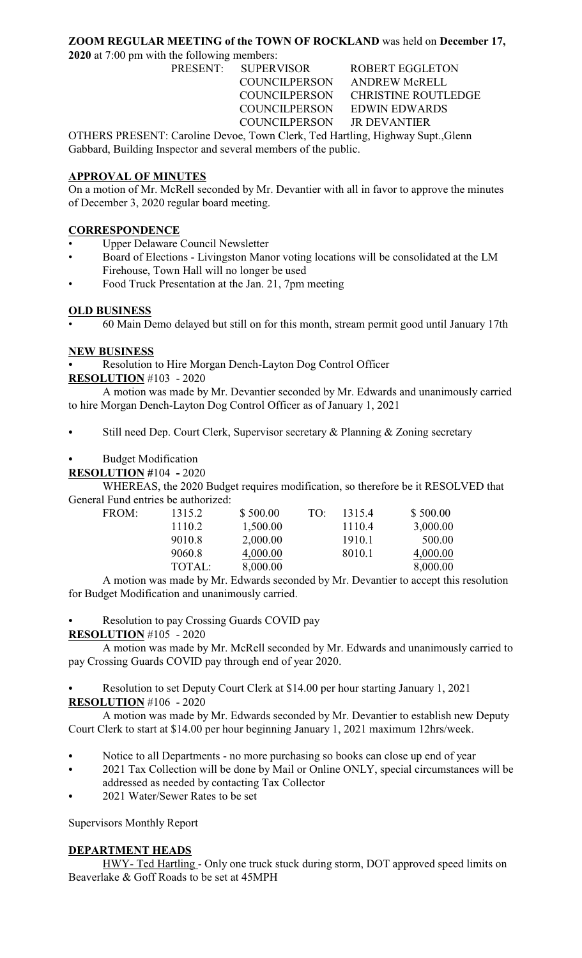## **ZOOM REGULAR MEETING of the TOWN OF ROCKLAND** was held on **December 17,**

**2020** at 7:00 pm with the following members:

PRESENT: SUPERVISOR ROBERT EGGLETON COUNCILPERSON ANDREW McRELL COUNCILPERSON CHRISTINE ROUTLEDGE COUNCILPERSON EDWIN EDWARDS COUNCILPERSON JR DEVANTIER

OTHERS PRESENT: Caroline Devoe, Town Clerk, Ted Hartling, Highway Supt.,Glenn Gabbard, Building Inspector and several members of the public.

#### **APPROVAL OF MINUTES**

On a motion of Mr. McRell seconded by Mr. Devantier with all in favor to approve the minutes of December 3, 2020 regular board meeting.

### **CORRESPONDENCE**

- Upper Delaware Council Newsletter
- Board of Elections Livingston Manor voting locations will be consolidated at the LM Firehouse, Town Hall will no longer be used
- Food Truck Presentation at the Jan. 21, 7pm meeting

#### **OLD BUSINESS**

• 60 Main Demo delayed but still on for this month, stream permit good until January 17th

#### **NEW BUSINESS**

Resolution to Hire Morgan Dench-Layton Dog Control Officer

**RESOLUTION** #103 - 2020

A motion was made by Mr. Devantier seconded by Mr. Edwards and unanimously carried to hire Morgan Dench-Layton Dog Control Officer as of January 1, 2021

Still need Dep. Court Clerk, Supervisor secretary & Planning & Zoning secretary

#### **Budget Modification**

**RESOLUTION #**104 **-** 2020

WHEREAS, the 2020 Budget requires modification, so therefore be it RESOLVED that General Fund entries be authorized:<br>FROM: 1315.2

| 1315.2 | \$500.00 | TO: | 1315.4 | \$500.00 |
|--------|----------|-----|--------|----------|
| 1110.2 | 1,500.00 |     | 1110.4 | 3,000.00 |
| 9010.8 | 2,000.00 |     | 1910.1 | 500.00   |
| 9060.8 | 4,000.00 |     | 8010.1 | 4,000.00 |
| TOTAL: | 8,000.00 |     |        | 8,000.00 |
|        |          |     |        |          |

A motion was made by Mr. Edwards seconded by Mr. Devantier to accept this resolution for Budget Modification and unanimously carried.

Resolution to pay Crossing Guards COVID pay

#### **RESOLUTION** #105 - 2020

A motion was made by Mr. McRell seconded by Mr. Edwards and unanimously carried to pay Crossing Guards COVID pay through end of year 2020.

Resolution to set Deputy Court Clerk at \$14.00 per hour starting January 1, 2021 **RESOLUTION** #106 - 2020

A motion was made by Mr. Edwards seconded by Mr. Devantier to establish new Deputy Court Clerk to start at \$14.00 per hour beginning January 1, 2021 maximum 12hrs/week.

- Notice to all Departments no more purchasing so books can close up end of year
- 2021 Tax Collection will be done by Mail or Online ONLY, special circumstances will be addressed as needed by contacting Tax Collector
	- 2021 Water/Sewer Rates to be set

Supervisors Monthly Report

## **DEPARTMENT HEADS**

HWY- Ted Hartling - Only one truck stuck during storm, DOT approved speed limits on Beaverlake & Goff Roads to be set at 45MPH